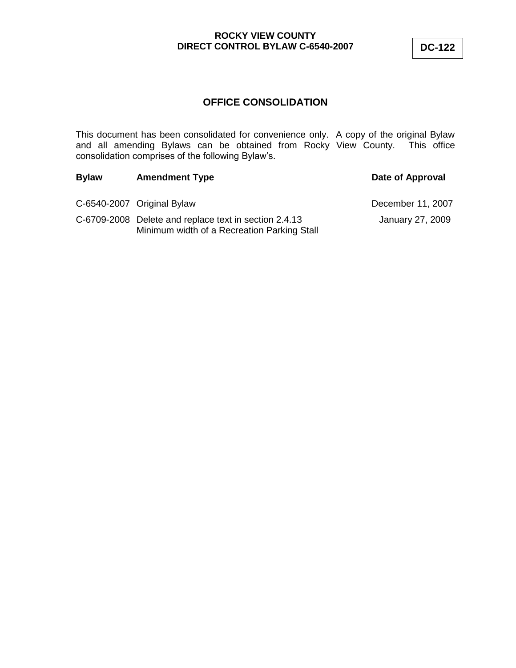# **OFFICE CONSOLIDATION**

This document has been consolidated for convenience only. A copy of the original Bylaw and all amending Bylaws can be obtained from Rocky View County. This office consolidation comprises of the following Bylaw"s.

| <b>Bylaw</b> | <b>Amendment Type</b>                                                                                | Date of Approval  |
|--------------|------------------------------------------------------------------------------------------------------|-------------------|
|              | C-6540-2007 Original Bylaw                                                                           | December 11, 2007 |
|              | C-6709-2008 Delete and replace text in section 2.4.13<br>Minimum width of a Recreation Parking Stall | January 27, 2009  |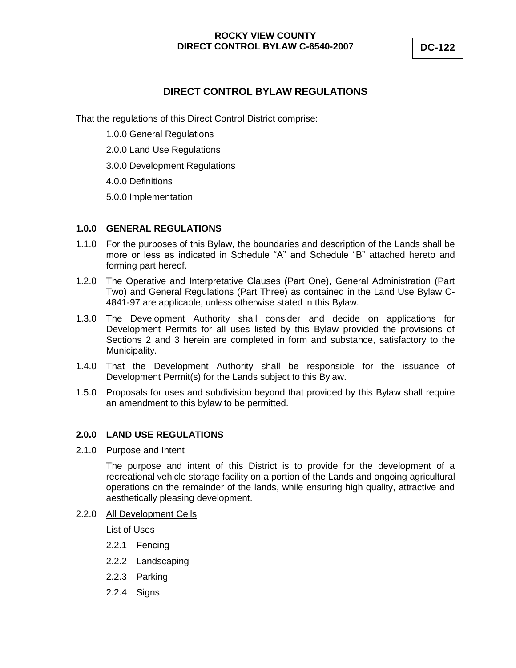# **DIRECT CONTROL BYLAW REGULATIONS**

That the regulations of this Direct Control District comprise:

- 1.0.0 General Regulations
- 2.0.0 Land Use Regulations
- 3.0.0 Development Regulations
- 4.0.0 Definitions
- 5.0.0 Implementation

#### **1.0.0 GENERAL REGULATIONS**

- 1.1.0 For the purposes of this Bylaw, the boundaries and description of the Lands shall be more or less as indicated in Schedule "A" and Schedule "B" attached hereto and forming part hereof.
- 1.2.0 The Operative and Interpretative Clauses (Part One), General Administration (Part Two) and General Regulations (Part Three) as contained in the Land Use Bylaw C-4841-97 are applicable, unless otherwise stated in this Bylaw.
- 1.3.0 The Development Authority shall consider and decide on applications for Development Permits for all uses listed by this Bylaw provided the provisions of Sections 2 and 3 herein are completed in form and substance, satisfactory to the Municipality.
- 1.4.0 That the Development Authority shall be responsible for the issuance of Development Permit(s) for the Lands subject to this Bylaw.
- 1.5.0 Proposals for uses and subdivision beyond that provided by this Bylaw shall require an amendment to this bylaw to be permitted.

#### **2.0.0 LAND USE REGULATIONS**

2.1.0 Purpose and Intent

The purpose and intent of this District is to provide for the development of a recreational vehicle storage facility on a portion of the Lands and ongoing agricultural operations on the remainder of the lands, while ensuring high quality, attractive and aesthetically pleasing development.

2.2.0 All Development Cells

List of Uses

- 2.2.1 Fencing
- 2.2.2 Landscaping
- 2.2.3 Parking
- 2.2.4 Signs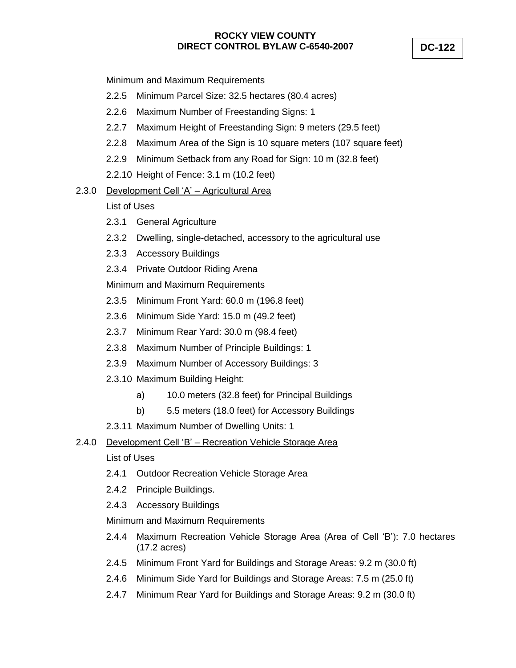Minimum and Maximum Requirements

- 2.2.5 Minimum Parcel Size: 32.5 hectares (80.4 acres)
- 2.2.6 Maximum Number of Freestanding Signs: 1
- 2.2.7 Maximum Height of Freestanding Sign: 9 meters (29.5 feet)
- 2.2.8 Maximum Area of the Sign is 10 square meters (107 square feet)
- 2.2.9 Minimum Setback from any Road for Sign: 10 m (32.8 feet)
- 2.2.10 Height of Fence: 3.1 m (10.2 feet)

# 2.3.0 Development Cell "A" – Agricultural Area

## List of Uses

- 2.3.1 General Agriculture
- 2.3.2 Dwelling, single-detached, accessory to the agricultural use
- 2.3.3 Accessory Buildings
- 2.3.4 Private Outdoor Riding Arena

Minimum and Maximum Requirements

- 2.3.5 Minimum Front Yard: 60.0 m (196.8 feet)
- 2.3.6 Minimum Side Yard: 15.0 m (49.2 feet)
- 2.3.7 Minimum Rear Yard: 30.0 m (98.4 feet)
- 2.3.8 Maximum Number of Principle Buildings: 1
- 2.3.9 Maximum Number of Accessory Buildings: 3
- 2.3.10 Maximum Building Height:
	- a) 10.0 meters (32.8 feet) for Principal Buildings
	- b) 5.5 meters (18.0 feet) for Accessory Buildings
- 2.3.11 Maximum Number of Dwelling Units: 1

## 2.4.0 Development Cell "B" – Recreation Vehicle Storage Area

## List of Uses

- 2.4.1 Outdoor Recreation Vehicle Storage Area
- 2.4.2 Principle Buildings.
- 2.4.3 Accessory Buildings

Minimum and Maximum Requirements

- 2.4.4 Maximum Recreation Vehicle Storage Area (Area of Cell "B"): 7.0 hectares (17.2 acres)
- 2.4.5 Minimum Front Yard for Buildings and Storage Areas: 9.2 m (30.0 ft)
- 2.4.6 Minimum Side Yard for Buildings and Storage Areas: 7.5 m (25.0 ft)
- 2.4.7 Minimum Rear Yard for Buildings and Storage Areas: 9.2 m (30.0 ft)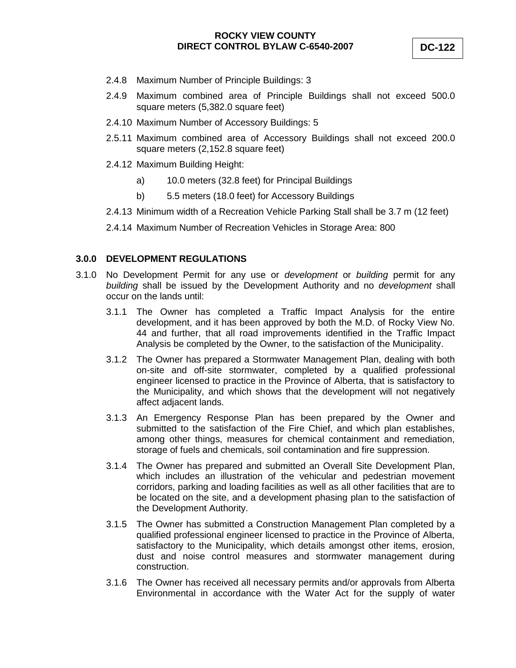- 2.4.8 Maximum Number of Principle Buildings: 3
- 2.4.9 Maximum combined area of Principle Buildings shall not exceed 500.0 square meters (5,382.0 square feet)
- 2.4.10 Maximum Number of Accessory Buildings: 5
- 2.5.11 Maximum combined area of Accessory Buildings shall not exceed 200.0 square meters (2,152.8 square feet)
- 2.4.12 Maximum Building Height:
	- a) 10.0 meters (32.8 feet) for Principal Buildings
	- b) 5.5 meters (18.0 feet) for Accessory Buildings
- 2.4.13 Minimum width of a Recreation Vehicle Parking Stall shall be 3.7 m (12 feet)
- 2.4.14 Maximum Number of Recreation Vehicles in Storage Area: 800

#### **3.0.0 DEVELOPMENT REGULATIONS**

- 3.1.0 No Development Permit for any use or *development* or *building* permit for any *building* shall be issued by the Development Authority and no *development* shall occur on the lands until:
	- 3.1.1 The Owner has completed a Traffic Impact Analysis for the entire development, and it has been approved by both the M.D. of Rocky View No. 44 and further, that all road improvements identified in the Traffic Impact Analysis be completed by the Owner, to the satisfaction of the Municipality.
	- 3.1.2 The Owner has prepared a Stormwater Management Plan, dealing with both on-site and off-site stormwater, completed by a qualified professional engineer licensed to practice in the Province of Alberta, that is satisfactory to the Municipality, and which shows that the development will not negatively affect adjacent lands.
	- 3.1.3 An Emergency Response Plan has been prepared by the Owner and submitted to the satisfaction of the Fire Chief, and which plan establishes, among other things, measures for chemical containment and remediation, storage of fuels and chemicals, soil contamination and fire suppression.
	- 3.1.4 The Owner has prepared and submitted an Overall Site Development Plan, which includes an illustration of the vehicular and pedestrian movement corridors, parking and loading facilities as well as all other facilities that are to be located on the site, and a development phasing plan to the satisfaction of the Development Authority.
	- 3.1.5 The Owner has submitted a Construction Management Plan completed by a qualified professional engineer licensed to practice in the Province of Alberta, satisfactory to the Municipality, which details amongst other items, erosion, dust and noise control measures and stormwater management during construction.
	- 3.1.6 The Owner has received all necessary permits and/or approvals from Alberta Environmental in accordance with the Water Act for the supply of water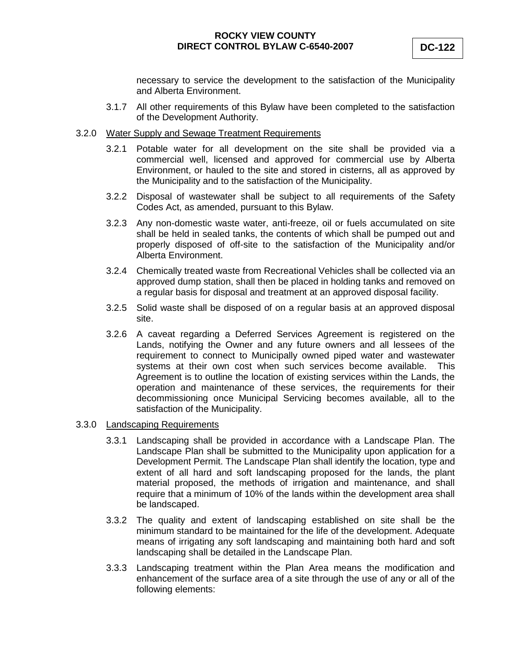necessary to service the development to the satisfaction of the Municipality and Alberta Environment.

3.1.7 All other requirements of this Bylaw have been completed to the satisfaction of the Development Authority.

#### 3.2.0 Water Supply and Sewage Treatment Requirements

- 3.2.1 Potable water for all development on the site shall be provided via a commercial well, licensed and approved for commercial use by Alberta Environment, or hauled to the site and stored in cisterns, all as approved by the Municipality and to the satisfaction of the Municipality.
- 3.2.2 Disposal of wastewater shall be subject to all requirements of the Safety Codes Act, as amended, pursuant to this Bylaw.
- 3.2.3 Any non-domestic waste water, anti-freeze, oil or fuels accumulated on site shall be held in sealed tanks, the contents of which shall be pumped out and properly disposed of off-site to the satisfaction of the Municipality and/or Alberta Environment.
- 3.2.4 Chemically treated waste from Recreational Vehicles shall be collected via an approved dump station, shall then be placed in holding tanks and removed on a regular basis for disposal and treatment at an approved disposal facility.
- 3.2.5 Solid waste shall be disposed of on a regular basis at an approved disposal site.
- 3.2.6 A caveat regarding a Deferred Services Agreement is registered on the Lands, notifying the Owner and any future owners and all lessees of the requirement to connect to Municipally owned piped water and wastewater systems at their own cost when such services become available. This Agreement is to outline the location of existing services within the Lands, the operation and maintenance of these services, the requirements for their decommissioning once Municipal Servicing becomes available, all to the satisfaction of the Municipality.

#### 3.3.0 Landscaping Requirements

- 3.3.1 Landscaping shall be provided in accordance with a Landscape Plan. The Landscape Plan shall be submitted to the Municipality upon application for a Development Permit. The Landscape Plan shall identify the location, type and extent of all hard and soft landscaping proposed for the lands, the plant material proposed, the methods of irrigation and maintenance, and shall require that a minimum of 10% of the lands within the development area shall be landscaped.
- 3.3.2 The quality and extent of landscaping established on site shall be the minimum standard to be maintained for the life of the development. Adequate means of irrigating any soft landscaping and maintaining both hard and soft landscaping shall be detailed in the Landscape Plan.
- 3.3.3 Landscaping treatment within the Plan Area means the modification and enhancement of the surface area of a site through the use of any or all of the following elements: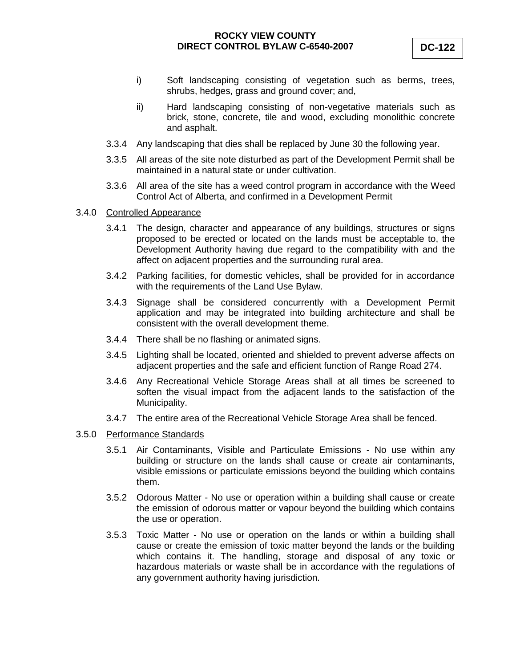- i) Soft landscaping consisting of vegetation such as berms, trees, shrubs, hedges, grass and ground cover; and,
- ii) Hard landscaping consisting of non-vegetative materials such as brick, stone, concrete, tile and wood, excluding monolithic concrete and asphalt.
- 3.3.4 Any landscaping that dies shall be replaced by June 30 the following year.
- 3.3.5 All areas of the site note disturbed as part of the Development Permit shall be maintained in a natural state or under cultivation.
- 3.3.6 All area of the site has a weed control program in accordance with the Weed Control Act of Alberta, and confirmed in a Development Permit
- 3.4.0 Controlled Appearance
	- 3.4.1 The design, character and appearance of any buildings, structures or signs proposed to be erected or located on the lands must be acceptable to, the Development Authority having due regard to the compatibility with and the affect on adjacent properties and the surrounding rural area.
	- 3.4.2 Parking facilities, for domestic vehicles, shall be provided for in accordance with the requirements of the Land Use Bylaw.
	- 3.4.3 Signage shall be considered concurrently with a Development Permit application and may be integrated into building architecture and shall be consistent with the overall development theme.
	- 3.4.4 There shall be no flashing or animated signs.
	- 3.4.5 Lighting shall be located, oriented and shielded to prevent adverse affects on adjacent properties and the safe and efficient function of Range Road 274.
	- 3.4.6 Any Recreational Vehicle Storage Areas shall at all times be screened to soften the visual impact from the adjacent lands to the satisfaction of the Municipality.
	- 3.4.7 The entire area of the Recreational Vehicle Storage Area shall be fenced.
- 3.5.0 Performance Standards
	- 3.5.1 Air Contaminants, Visible and Particulate Emissions No use within any building or structure on the lands shall cause or create air contaminants, visible emissions or particulate emissions beyond the building which contains them.
	- 3.5.2 Odorous Matter No use or operation within a building shall cause or create the emission of odorous matter or vapour beyond the building which contains the use or operation.
	- 3.5.3 Toxic Matter No use or operation on the lands or within a building shall cause or create the emission of toxic matter beyond the lands or the building which contains it. The handling, storage and disposal of any toxic or hazardous materials or waste shall be in accordance with the regulations of any government authority having jurisdiction.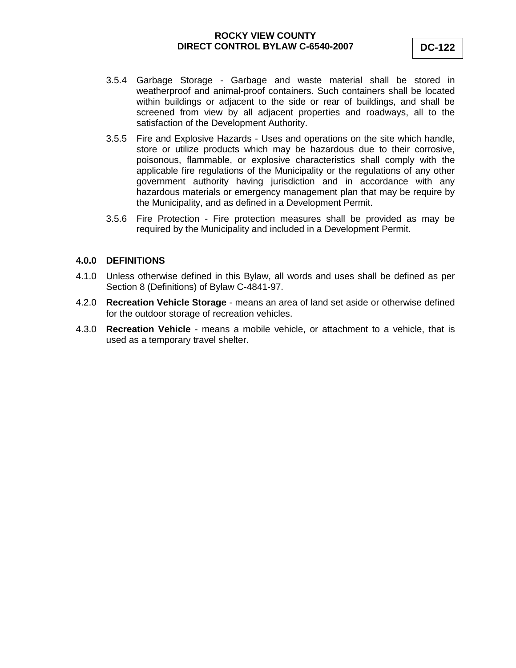- 3.5.4 Garbage Storage Garbage and waste material shall be stored in weatherproof and animal-proof containers. Such containers shall be located within buildings or adjacent to the side or rear of buildings, and shall be screened from view by all adjacent properties and roadways, all to the satisfaction of the Development Authority.
- 3.5.5 Fire and Explosive Hazards Uses and operations on the site which handle, store or utilize products which may be hazardous due to their corrosive, poisonous, flammable, or explosive characteristics shall comply with the applicable fire regulations of the Municipality or the regulations of any other government authority having jurisdiction and in accordance with any hazardous materials or emergency management plan that may be require by the Municipality, and as defined in a Development Permit.
- 3.5.6 Fire Protection Fire protection measures shall be provided as may be required by the Municipality and included in a Development Permit.

#### **4.0.0 DEFINITIONS**

- 4.1.0 Unless otherwise defined in this Bylaw, all words and uses shall be defined as per Section 8 (Definitions) of Bylaw C-4841-97.
- 4.2.0 **Recreation Vehicle Storage** means an area of land set aside or otherwise defined for the outdoor storage of recreation vehicles.
- 4.3.0 **Recreation Vehicle** means a mobile vehicle, or attachment to a vehicle, that is used as a temporary travel shelter.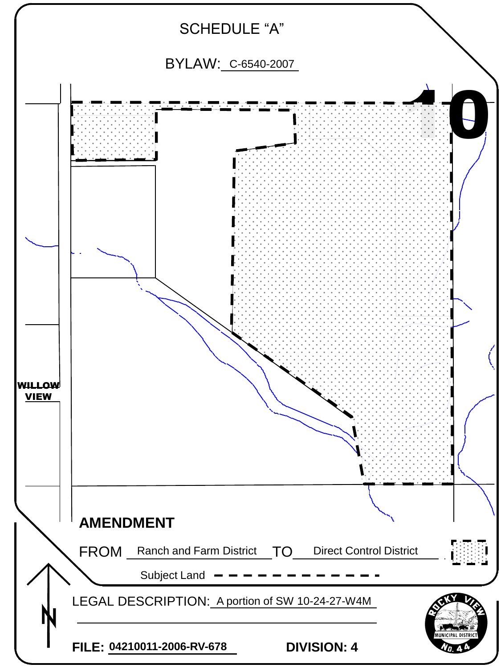